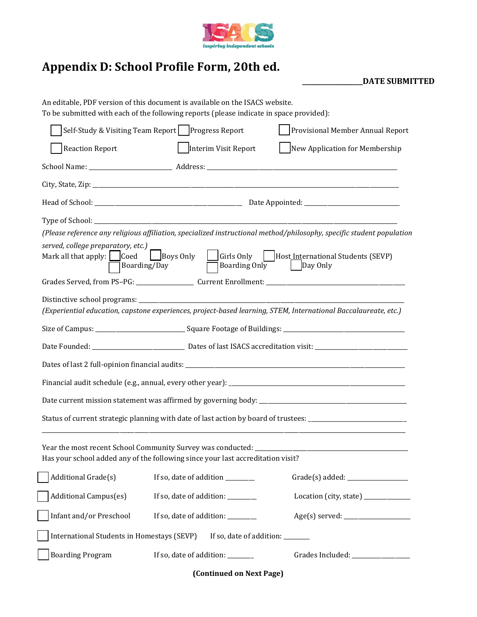

## **Appendix D: School Profile Form, 20th ed.**

**\_\_\_\_\_\_\_\_\_\_\_\_\_\_\_\_\_\_\_DATE SUBMITTED**

|                                                                                                         | An editable, PDF version of this document is available on the ISACS website.<br>To be submitted with each of the following reports (please indicate in space provided): |                                                                                                                       |  |  |  |  |
|---------------------------------------------------------------------------------------------------------|-------------------------------------------------------------------------------------------------------------------------------------------------------------------------|-----------------------------------------------------------------------------------------------------------------------|--|--|--|--|
| Self-Study & Visiting Team Report   Progress Report                                                     | Provisional Member Annual Report                                                                                                                                        |                                                                                                                       |  |  |  |  |
| <b>Reaction Report</b>                                                                                  | New Application for Membership<br>  Interim Visit Report                                                                                                                |                                                                                                                       |  |  |  |  |
|                                                                                                         |                                                                                                                                                                         |                                                                                                                       |  |  |  |  |
|                                                                                                         |                                                                                                                                                                         |                                                                                                                       |  |  |  |  |
|                                                                                                         |                                                                                                                                                                         |                                                                                                                       |  |  |  |  |
|                                                                                                         |                                                                                                                                                                         |                                                                                                                       |  |  |  |  |
|                                                                                                         |                                                                                                                                                                         | (Please reference any religious affiliation, specialized instructional method/philosophy, specific student population |  |  |  |  |
| served, college preparatory, etc.)<br>Mark all that apply: $\Box$ Coed $\Box$ Boys Only<br>Boarding/Day |                                                                                                                                                                         | Girls Only Host International Students (SEVP)<br>Boarding Only Day Only                                               |  |  |  |  |
|                                                                                                         |                                                                                                                                                                         |                                                                                                                       |  |  |  |  |
|                                                                                                         |                                                                                                                                                                         | (Experiential education, capstone experiences, project-based learning, STEM, International Baccalaureate, etc.)       |  |  |  |  |
|                                                                                                         |                                                                                                                                                                         | Size of Campus: _________________________________Square Footage of Buildings: ________________________________        |  |  |  |  |
|                                                                                                         |                                                                                                                                                                         |                                                                                                                       |  |  |  |  |
|                                                                                                         |                                                                                                                                                                         |                                                                                                                       |  |  |  |  |
|                                                                                                         |                                                                                                                                                                         |                                                                                                                       |  |  |  |  |
|                                                                                                         |                                                                                                                                                                         |                                                                                                                       |  |  |  |  |
|                                                                                                         |                                                                                                                                                                         | Status of current strategic planning with date of last action by board of trustees: _________________________         |  |  |  |  |
|                                                                                                         | Year the most recent School Community Survey was conducted:<br>Has your school added any of the following since your last accreditation visit?                          |                                                                                                                       |  |  |  |  |
| Additional Grade(s)                                                                                     | If so, date of addition ________                                                                                                                                        |                                                                                                                       |  |  |  |  |
| <b>Additional Campus(es)</b>                                                                            | If so, date of addition: _________                                                                                                                                      | Location (city, state) ____________                                                                                   |  |  |  |  |
| Infant and/or Preschool                                                                                 | If so, date of addition: ________                                                                                                                                       |                                                                                                                       |  |  |  |  |
| International Students in Homestays (SEVP)                                                              | If so, date of addition: _______                                                                                                                                        |                                                                                                                       |  |  |  |  |
| <b>Boarding Program</b>                                                                                 | If so, date of addition: _______                                                                                                                                        | Grades Included: ________________                                                                                     |  |  |  |  |
| (Continued on Next Page)                                                                                |                                                                                                                                                                         |                                                                                                                       |  |  |  |  |